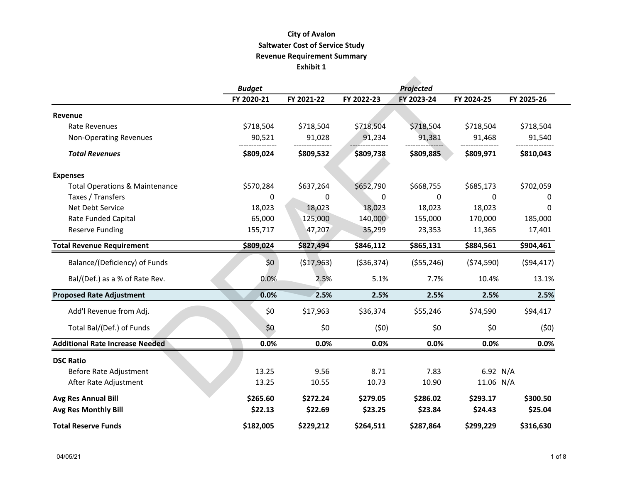## **City of Avalon Revenue Requirement Summary Exhibit 1 Saltwater Cost of Service Study**

|                                           | <b>Budget</b> |            |              | Projected    |            |            |
|-------------------------------------------|---------------|------------|--------------|--------------|------------|------------|
|                                           | FY 2020-21    | FY 2021-22 | FY 2022-23   | FY 2023-24   | FY 2024-25 | FY 2025-26 |
| Revenue                                   |               |            |              |              |            |            |
| Rate Revenues                             | \$718,504     | \$718,504  | \$718,504    | \$718,504    | \$718,504  | \$718,504  |
| <b>Non-Operating Revenues</b>             | 90,521        | 91,028     | 91,234       | 91,381       | 91,468     | 91,540     |
| <b>Total Revenues</b>                     | \$809,024     | \$809,532  | \$809,738    | \$809,885    | \$809,971  | \$810,043  |
| <b>Expenses</b>                           |               |            |              |              |            |            |
| <b>Total Operations &amp; Maintenance</b> | \$570,284     | \$637,264  | \$652,790    | \$668,755    | \$685,173  | \$702,059  |
| Taxes / Transfers                         | 0             | $\Omega$   | 0            | 0            | $\Omega$   | 0          |
| Net Debt Service                          | 18,023        | 18,023     | 18,023       | 18,023       | 18,023     | 0          |
| Rate Funded Capital                       | 65,000        | 125,000    | 140,000      | 155,000      | 170,000    | 185,000    |
| <b>Reserve Funding</b>                    | 155,717       | 47,207     | 35,299       | 23,353       | 11,365     | 17,401     |
| <b>Total Revenue Requirement</b>          | \$809,024     | \$827,494  | \$846,112    | \$865,131    | \$884,561  | \$904,461  |
| Balance/(Deficiency) of Funds             | \$0           | (517,963)  | ( \$36, 374) | ( \$55, 246) | (574, 590) | (594, 417) |
| Bal/(Def.) as a % of Rate Rev.            | 0.0%          | 2.5%       | 5.1%         | 7.7%         | 10.4%      | 13.1%      |
| <b>Proposed Rate Adjustment</b>           | 0.0%          | 2.5%       | 2.5%         | 2.5%         | 2.5%       | 2.5%       |
| Add'l Revenue from Adj.                   | \$0           | \$17,963   | \$36,374     | \$55,246     | \$74,590   | \$94,417   |
| Total Bal/(Def.) of Funds                 | \$0           | \$0        | (50)         | \$0          | \$0        | (50)       |
| <b>Additional Rate Increase Needed</b>    | 0.0%          | 0.0%       | 0.0%         | 0.0%         | 0.0%       | 0.0%       |
| <b>DSC Ratio</b>                          |               |            |              |              |            |            |
| Before Rate Adjustment                    | 13.25         | 9.56       | 8.71         | 7.83         | 6.92 $N/A$ |            |
| After Rate Adjustment                     | 13.25         | 10.55      | 10.73        | 10.90        | 11.06 N/A  |            |
| <b>Avg Res Annual Bill</b>                | \$265.60      | \$272.24   | \$279.05     | \$286.02     | \$293.17   | \$300.50   |
| <b>Avg Res Monthly Bill</b>               | \$22.13       | \$22.69    | \$23.25      | \$23.84      | \$24.43    | \$25.04    |
| <b>Total Reserve Funds</b>                | \$182,005     | \$229,212  | \$264,511    | \$287,864    | \$299,229  | \$316,630  |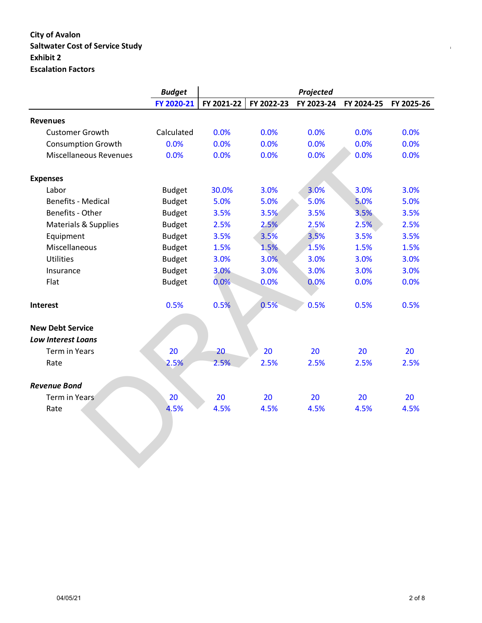# **City of Avalon Saltwater Cost of Service Study** *Page 1 of 3* **of 3***altwater Cost of Service Study**Page 1 of 3<i>altwater* **Cost of 3***altwater* $\frac{1}{2}$ **Exhibit 2 Escalation Factors**

|                                 | <b>Budget</b> |            |            | Projected  |            |            |
|---------------------------------|---------------|------------|------------|------------|------------|------------|
|                                 | FY 2020-21    | FY 2021-22 | FY 2022-23 | FY 2023-24 | FY 2024-25 | FY 2025-26 |
| <b>Revenues</b>                 |               |            |            |            |            |            |
| <b>Customer Growth</b>          | Calculated    | 0.0%       | 0.0%       | 0.0%       | 0.0%       | 0.0%       |
| <b>Consumption Growth</b>       | 0.0%          | 0.0%       | 0.0%       | 0.0%       | 0.0%       | 0.0%       |
| <b>Miscellaneous Revenues</b>   | 0.0%          | 0.0%       | 0.0%       | 0.0%       | 0.0%       | 0.0%       |
| <b>Expenses</b>                 |               |            |            |            |            |            |
| Labor                           | <b>Budget</b> | 30.0%      | 3.0%       | 3.0%       | 3.0%       | 3.0%       |
| <b>Benefits - Medical</b>       | <b>Budget</b> | 5.0%       | 5.0%       | 5.0%       | 5.0%       | 5.0%       |
| Benefits - Other                | <b>Budget</b> | 3.5%       | 3.5%       | 3.5%       | 3.5%       | 3.5%       |
| <b>Materials &amp; Supplies</b> | <b>Budget</b> | 2.5%       | 2.5%       | 2.5%       | 2.5%       | 2.5%       |
| Equipment                       | <b>Budget</b> | 3.5%       | 3.5%       | 3.5%       | 3.5%       | 3.5%       |
| Miscellaneous                   | <b>Budget</b> | 1.5%       | 1.5%       | 1.5%       | 1.5%       | 1.5%       |
| <b>Utilities</b>                | <b>Budget</b> | 3.0%       | 3.0%       | 3.0%       | 3.0%       | 3.0%       |
| Insurance                       | <b>Budget</b> | 3.0%       | 3.0%       | 3.0%       | 3.0%       | 3.0%       |
| Flat                            | <b>Budget</b> | 0.0%       | 0.0%       | 0.0%       | 0.0%       | 0.0%       |
| Interest                        | 0.5%          | 0.5%       | 0.5%       | 0.5%       | 0.5%       | 0.5%       |
| <b>New Debt Service</b>         |               |            |            |            |            |            |
| <b>Low Interest Loans</b>       |               |            |            |            |            |            |
| <b>Term in Years</b>            | 20            | 20         | 20         | 20         | 20         | 20         |
| Rate                            | 2.5%          | 2.5%       | 2.5%       | 2.5%       | 2.5%       | 2.5%       |
| <b>Revenue Bond</b>             |               |            |            |            |            |            |
| Term in Years                   | 20            | 20         | 20         | 20         | 20         | 20         |
| Rate                            | 4.5%          | 4.5%       | 4.5%       | 4.5%       | 4.5%       | 4.5%       |
|                                 |               |            |            |            |            |            |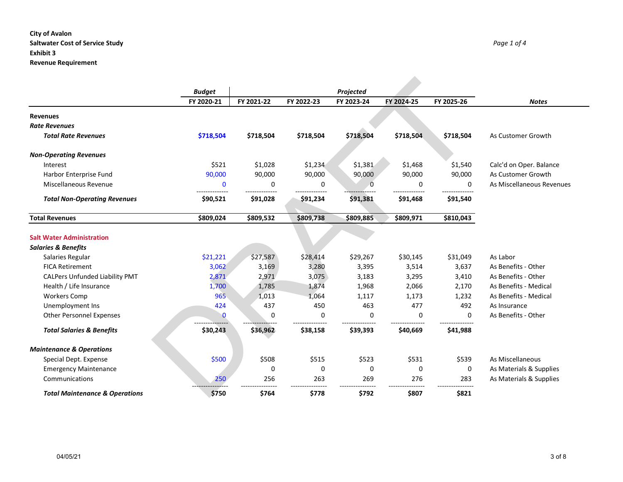### **City of Avalon Saltwater Cost of Service Study** *Page 1 of 4* **Exhibit 3 Revenue Requirement**

|                                            | <b>Budget</b>  |                |                | Projected      |                |                |                           |
|--------------------------------------------|----------------|----------------|----------------|----------------|----------------|----------------|---------------------------|
|                                            | FY 2020-21     | FY 2021-22     | FY 2022-23     | FY 2023-24     | FY 2024-25     | FY 2025-26     | <b>Notes</b>              |
| <b>Revenues</b>                            |                |                |                |                |                |                |                           |
| <b>Rate Revenues</b>                       |                |                |                |                |                |                |                           |
| <b>Total Rate Revenues</b>                 | \$718,504      | \$718,504      | \$718,504      | \$718,504      | \$718,504      | \$718,504      | As Customer Growth        |
| <b>Non-Operating Revenues</b>              |                |                |                |                |                |                |                           |
| Interest                                   | \$521          | \$1,028        | \$1,234        | \$1,381        | \$1,468        | \$1,540        | Calc'd on Oper. Balance   |
| Harbor Enterprise Fund                     | 90,000         | 90,000         | 90,000         | 90,000         | 90,000         | 90,000         | As Customer Growth        |
| Miscellaneous Revenue                      | $\mathbf{0}$   | 0              | 0              | $\Omega$       | $\Omega$       | $\mathbf{0}$   | As Miscellaneous Revenues |
| <b>Total Non-Operating Revenues</b>        | \$90,521       | \$91,028       | \$91,234       | \$91,381       | \$91,468       | \$91,540       |                           |
| <b>Total Revenues</b>                      | \$809,024      | \$809,532      | \$809,738      | \$809,885      | \$809,971      | \$810,043      |                           |
| <b>Salt Water Administration</b>           |                |                |                |                |                |                |                           |
|                                            |                |                |                |                |                |                |                           |
| <b>Salaries &amp; Benefits</b>             | \$21,221       | \$27,587       | \$28,414       | \$29,267       | \$30,145       | \$31,049       | As Labor                  |
| Salaries Regular<br><b>FICA Retirement</b> |                |                |                |                |                |                | As Benefits - Other       |
| <b>CALPers Unfunded Liability PMT</b>      | 3,062<br>2,871 | 3,169<br>2,971 | 3,280<br>3,075 | 3,395          | 3,514<br>3,295 | 3,637<br>3,410 | As Benefits - Other       |
| Health / Life Insurance                    | 1,700          | 1,785          | 1,874          | 3,183          | 2,066          | 2,170          | As Benefits - Medical     |
| <b>Workers Comp</b>                        | 965            | 1,013          | 1,064          | 1,968<br>1,117 | 1,173          | 1,232          | As Benefits - Medical     |
| Unemployment Ins                           | 424            | 437            | 450            | 463            | 477            | 492            | As Insurance              |
| <b>Other Personnel Expenses</b>            | 0              | 0              | 0              | 0              | 0              | $\mathbf{0}$   | As Benefits - Other       |
| <b>Total Salaries &amp; Benefits</b>       | \$30,243       | \$36,962       | \$38,158       | \$39,393       | \$40,669       | \$41,988       |                           |
|                                            |                |                |                |                |                |                |                           |
| <b>Maintenance &amp; Operations</b>        |                |                |                |                |                |                |                           |
| Special Dept. Expense                      | \$500          | \$508          | \$515          | \$523          | \$531          | \$539          | As Miscellaneous          |
| <b>Emergency Maintenance</b>               |                | 0              | 0              | 0              | 0              | 0              | As Materials & Supplies   |
| Communications                             | 250            | 256            | 263            | 269            | 276            | 283            | As Materials & Supplies   |
| <b>Total Maintenance &amp; Operations</b>  | \$750          | \$764          | \$778          | \$792          | \$807          | \$821          |                           |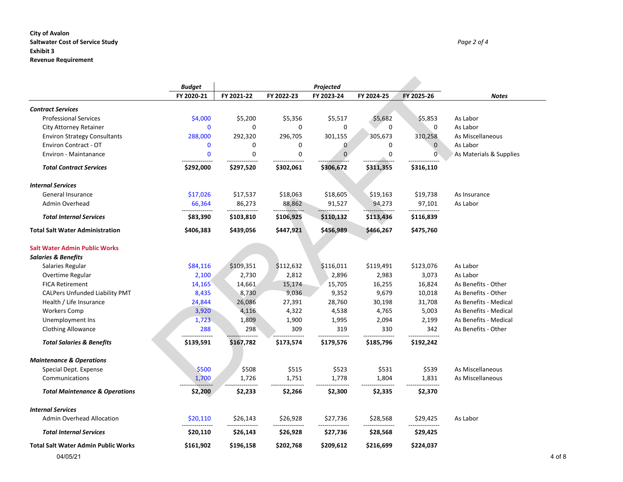### **City of Avalon Saltwater Cost of Service Study** *Page 2 of 4* **Exhibit 3 Revenue Requirement**

|                                            | <b>Budget</b>                |            |             | Projected   |             |              |                         |
|--------------------------------------------|------------------------------|------------|-------------|-------------|-------------|--------------|-------------------------|
|                                            | FY 2020-21                   | FY 2021-22 | FY 2022-23  | FY 2023-24  | FY 2024-25  | FY 2025-26   | <b>Notes</b>            |
| <b>Contract Services</b>                   |                              |            |             |             |             |              |                         |
| <b>Professional Services</b>               | \$4,000                      | \$5,200    | \$5,356     | \$5,517     | \$5,682     | \$5,853      | As Labor                |
| City Attorney Retainer                     | $\mathbf 0$                  | 0          | $\mathbf 0$ | 0           | $\mathbf 0$ | $\mathbf 0$  | As Labor                |
| <b>Environ Strategy Consultants</b>        | 288,000                      | 292,320    | 296,705     | 301,155     | 305,673     | 310,258      | As Miscellaneous        |
| <b>Environ Contract - OT</b>               | $\mathbf 0$                  | 0          | 0           | 0           | 0           | $\mathbf 0$  | As Labor                |
| <b>Environ - Maintanance</b>               | $\mathbf{0}$                 | 0          | 0           | $\mathbf 0$ | 0           | $\mathbf{0}$ | As Materials & Supplies |
| <b>Total Contract Services</b>             | ---------------<br>\$292,000 | \$297,520  | \$302,061   | \$306,672   | \$311,355   | \$316,110    |                         |
| <b>Internal Services</b>                   |                              |            |             |             |             |              |                         |
| <b>General Insurance</b>                   | \$17,026                     | \$17,537   | \$18,063    | \$18,605    | \$19,163    | \$19,738     | As Insurance            |
| Admin Overhead                             | 66,364                       | 86,273     | 88,862      | 91,527      | 94,273      | 97,101       | As Labor                |
| <b>Total Internal Services</b>             | \$83,390                     | \$103,810  | \$106,925   | \$110,132   | \$113,436   | \$116,839    |                         |
| <b>Total Salt Water Administration</b>     | \$406,383                    | \$439,056  | \$447,921   | \$456,989   | \$466,267   | \$475,760    |                         |
| <b>Salt Water Admin Public Works</b>       |                              |            |             |             |             |              |                         |
| <b>Salaries &amp; Benefits</b>             |                              |            |             |             |             |              |                         |
| Salaries Regular                           | \$84,116                     | \$109,351  | \$112,632   | \$116,011   | \$119,491   | \$123,076    | As Labor                |
| Overtime Regular                           | 2,100                        | 2,730      | 2,812       | 2,896       | 2,983       | 3,073        | As Labor                |
| <b>FICA Retirement</b>                     | 14,165                       | 14,661     | 15,174      | 15,705      | 16,255      | 16,824       | As Benefits - Other     |
| <b>CALPers Unfunded Liability PMT</b>      | 8,435                        | 8,730      | 9,036       | 9,352       | 9,679       | 10,018       | As Benefits - Other     |
| Health / Life Insurance                    | 24,844                       | 26,086     | 27,391      | 28,760      | 30,198      | 31,708       | As Benefits - Medical   |
| <b>Workers Comp</b>                        | 3,920                        | 4,116      | 4,322       | 4,538       | 4,765       | 5,003        | As Benefits - Medical   |
| Unemployment Ins                           | 1,723                        | 1,809      | 1,900       | 1,995       | 2,094       | 2,199        | As Benefits - Medical   |
| <b>Clothing Allowance</b>                  | 288                          | 298        | 309         | 319         | 330         | 342          | As Benefits - Other     |
| <b>Total Salaries &amp; Benefits</b>       | \$139,591                    | \$167,782  | \$173,574   | \$179,576   | \$185,796   | \$192,242    |                         |
| <b>Maintenance &amp; Operations</b>        |                              |            |             |             |             |              |                         |
| Special Dept. Expense                      | \$500                        | \$508      | \$515       | \$523       | \$531       | \$539        | As Miscellaneous        |
| Communications                             | 1,700                        | 1,726      | 1,751       | 1,778       | 1,804       | 1,831        | As Miscellaneous        |
| <b>Total Maintenance &amp; Operations</b>  | \$2,200                      | \$2,233    | \$2,266     | \$2,300     | \$2,335     | \$2,370      |                         |
| <b>Internal Services</b>                   |                              |            |             |             |             |              |                         |
| <b>Admin Overhead Allocation</b>           | \$20,110                     | \$26,143   | \$26,928    | \$27,736    | \$28,568    | \$29,425     | As Labor                |
| <b>Total Internal Services</b>             | \$20,110                     | \$26,143   | \$26,928    | \$27,736    | \$28,568    | \$29,425     |                         |
| <b>Total Salt Water Admin Public Works</b> | \$161,902                    | \$196,158  | \$202,768   | \$209,612   | \$216,699   | \$224,037    |                         |
| 04/05/21                                   |                              |            |             |             |             |              |                         |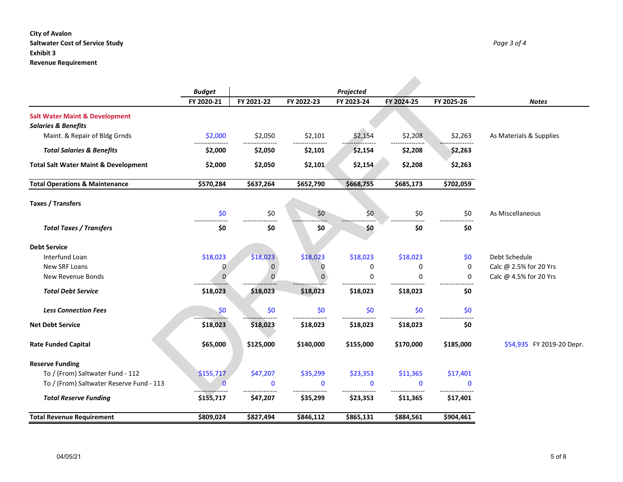### **City of Avalon Saltwater Cost of Service Study** *Page 3 of 4* **Exhibit 3 Revenue Requirement**

|                                                 | <b>Budget</b> |             |             | Projected   |             |              |                           |
|-------------------------------------------------|---------------|-------------|-------------|-------------|-------------|--------------|---------------------------|
|                                                 | FY 2020-21    | FY 2021-22  | FY 2022-23  | FY 2023-24  | FY 2024-25  | FY 2025-26   | <b>Notes</b>              |
| <b>Salt Water Maint &amp; Development</b>       |               |             |             |             |             |              |                           |
| <b>Salaries &amp; Benefits</b>                  |               |             |             |             |             |              |                           |
| Maint. & Repair of Bldg Grnds                   | \$2,000       | \$2,050     | \$2,101     | \$2,154     | \$2,208     | \$2,263      | As Materials & Supplies   |
| <b>Total Salaries &amp; Benefits</b>            | \$2,000       | \$2,050     | \$2,101     | \$2,154     | \$2,208     | \$2,263      |                           |
| <b>Total Salt Water Maint &amp; Development</b> | \$2,000       | \$2,050     | \$2,101     | \$2,154     | \$2,208     | \$2,263      |                           |
| <b>Total Operations &amp; Maintenance</b>       | \$570,284     | \$637,264   | \$652,790   | \$668,755   | \$685,173   | \$702,059    |                           |
| Taxes / Transfers                               |               |             |             |             |             |              |                           |
|                                                 | \$0           | \$0         | \$0         | \$0         | \$0         | \$0          | As Miscellaneous          |
| <b>Total Taxes / Transfers</b>                  | \$0           | \$0         | \$0         | \$0         | \$0         | -----<br>\$0 |                           |
| <b>Debt Service</b>                             |               |             |             |             |             |              |                           |
| Interfund Loan                                  | \$18,023      | \$18,023    | \$18,023    | \$18,023    | \$18,023    | \$0          | Debt Schedule             |
| New SRF Loans                                   | 0             | $\mathbf 0$ | 0           | $\mathbf 0$ | 0           | 0            | Calc @ 2.5% for 20 Yrs    |
| New Revenue Bonds                               | $\Omega$      | $\Omega$    | $\Omega$    | 0           | 0           | 0            | Calc @ 4.5% for 20 Yrs    |
| <b>Total Debt Service</b>                       | \$18,023      | \$18,023    | \$18,023    | \$18,023    | \$18,023    | \$0          |                           |
| <b>Less Connection Fees</b>                     | \$0           | \$0         | \$0         | \$0         | \$0         | \$0          |                           |
| <b>Net Debt Service</b>                         | \$18,023      | \$18,023    | \$18,023    | \$18,023    | \$18,023    | \$0          |                           |
| <b>Rate Funded Capital</b>                      | \$65,000      | \$125,000   | \$140,000   | \$155,000   | \$170,000   | \$185,000    | \$54,935 FY 2019-20 Depr. |
| <b>Reserve Funding</b>                          |               |             |             |             |             |              |                           |
| To / (From) Saltwater Fund - 112                | \$155,717     | \$47,207    | \$35,299    | \$23,353    | \$11,365    | \$17,401     |                           |
| To / (From) Saltwater Reserve Fund - 113        | $\mathbf{0}$  | $\mathbf 0$ | $\mathbf 0$ | $\Omega$    | $\mathbf 0$ | $\Omega$     |                           |
| <b>Total Reserve Funding</b>                    | \$155,717     | \$47,207    | \$35,299    | \$23,353    | \$11,365    | \$17,401     |                           |
| <b>Total Revenue Requirement</b>                | \$809,024     | \$827,494   | \$846,112   | \$865,131   | \$884,561   | \$904,461    |                           |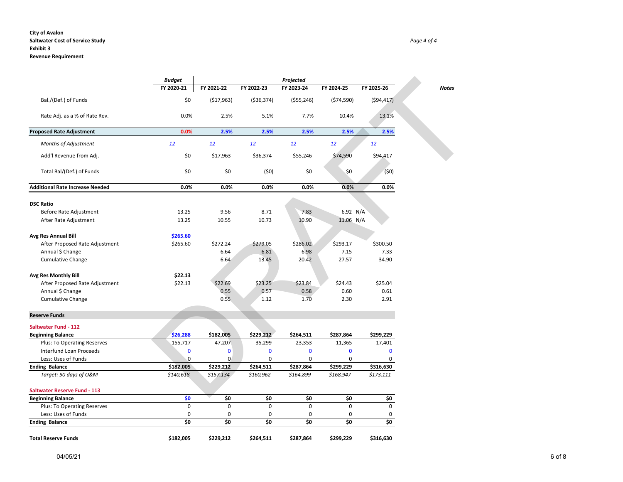#### **City of Avalon Saltwater Cost of Service Study** *Page 4 of 4*

#### **Revenue Requirement**

| <b>Budget</b> |            |            | Projected  |            |            |  |
|---------------|------------|------------|------------|------------|------------|--|
| FY 2020-21    | FY 2021-22 | FY 2022-23 | FY 2023-24 | FY 2024-25 | FY 2025-26 |  |
|               |            |            |            |            |            |  |

|                                                 | <b>Budget</b> |                         |                | Projected                |                         |               |              |
|-------------------------------------------------|---------------|-------------------------|----------------|--------------------------|-------------------------|---------------|--------------|
|                                                 | FY 2020-21    | FY 2021-22              | FY 2022-23     | FY 2023-24               | FY 2024-25              | FY 2025-26    | <b>Notes</b> |
| Bal./(Def.) of Funds                            | \$0           | (517,963)               | ( \$36, 374)   | ( \$55, 246)             | (574, 590)              | (594, 417)    |              |
| Rate Adj. as a % of Rate Rev.                   | 0.0%          | 2.5%                    | 5.1%           | 7.7%                     | 10.4%                   | 13.1%         |              |
| <b>Proposed Rate Adjustment</b>                 | 0.0%          | 2.5%                    | 2.5%           | 2.5%                     | 2.5%                    | 2.5%          |              |
| <b>Months of Adjustment</b>                     | 12            | 12                      | 12             | 12                       | 12                      | 12            |              |
| Add'l Revenue from Adj.                         | \$0           | \$17,963                | \$36,374       | \$55,246                 | \$74,590                | \$94,417      |              |
| Total Bal/(Def.) of Funds                       | \$0           | \$0                     | (50)           | \$0                      | \$0                     | (50)          |              |
| <b>Additional Rate Increase Needed</b>          | 0.0%          | 0.0%                    | 0.0%           | 0.0%                     | 0.0%                    | 0.0%          |              |
| <b>DSC Ratio</b>                                |               |                         |                |                          |                         |               |              |
| Before Rate Adjustment                          | 13.25         | 9.56                    | 8.71           | 7.83                     | 6.92 N/A                |               |              |
| After Rate Adjustment                           | 13.25         | 10.55                   | 10.73          | 10.90                    | 11.06 N/A               |               |              |
| <b>Avg Res Annual Bill</b>                      | \$265.60      |                         |                |                          |                         |               |              |
| After Proposed Rate Adjustment                  | \$265.60      | \$272.24                | \$279.05       | \$286.02                 | \$293.17                | \$300.50      |              |
| Annual \$ Change                                |               | 6.64                    | 6.81           | 6.98                     | 7.15                    | 7.33          |              |
| <b>Cumulative Change</b>                        |               | 6.64                    | 13.45          | 20.42                    | 27.57                   | 34.90         |              |
| Avg Res Monthly Bill                            | \$22.13       |                         |                |                          |                         |               |              |
| After Proposed Rate Adjustment                  | \$22.13       | \$22.69                 | \$23.25        | \$23.84                  | \$24.43                 | \$25.04       |              |
| Annual \$ Change                                |               | 0.55                    | 0.57           | 0.58                     | 0.60                    | 0.61          |              |
| Cumulative Change                               |               | 0.55                    | 1.12           | 1.70                     | 2.30                    | 2.91          |              |
| <b>Reserve Funds</b>                            |               |                         |                |                          |                         |               |              |
| <b>Saltwater Fund - 112</b>                     |               |                         |                |                          |                         |               |              |
| <b>Beginning Balance</b>                        | \$26,288      | \$182,005               | \$229,212      | \$264,511                | \$287,864               | \$299,229     |              |
| Plus: To Operating Reserves                     | 155,717       | 47,207                  | 35,299         | 23,353                   | 11,365                  | 17,401        |              |
| Interfund Loan Proceeds                         | $\bf{0}$<br>0 | $\bf{0}$<br>$\mathbf 0$ | 0              | $\mathbf 0$              | $\bf{0}$<br>$\mathbf 0$ | $\bf{0}$<br>0 |              |
| Less: Uses of Funds                             | \$182,005     | \$229,212               | 0<br>\$264,511 | $\mathbf 0$<br>\$287,864 | \$299,229               | \$316,630     |              |
| <b>Ending Balance</b><br>Target: 90 days of O&M | \$140,618     | \$157,134               | \$160,962      | \$164,899                | \$168,947               | \$173,111     |              |
| <b>Saltwater Reserve Fund - 113</b>             |               |                         |                |                          |                         |               |              |
| <b>Beginning Balance</b>                        | \$0           | \$0                     | \$0            | \$0                      | \$0                     | \$0           |              |
| Plus: To Operating Reserves                     | 0             | $\mathbf 0$             | $\mathbf 0$    | $\mathbf 0$              | $\mathbf 0$             | 0             |              |
| Less: Uses of Funds                             | 0             | 0                       | 0              | 0                        | $\pmb{0}$               | 0             |              |
| <b>Ending Balance</b>                           | \$0           | \$0                     | \$0            | \$0                      | \$0                     | \$0           |              |
| <b>Total Reserve Funds</b>                      | \$182,005     | \$229,212               | \$264,511      | \$287,864                | \$299,229               | \$316,630     |              |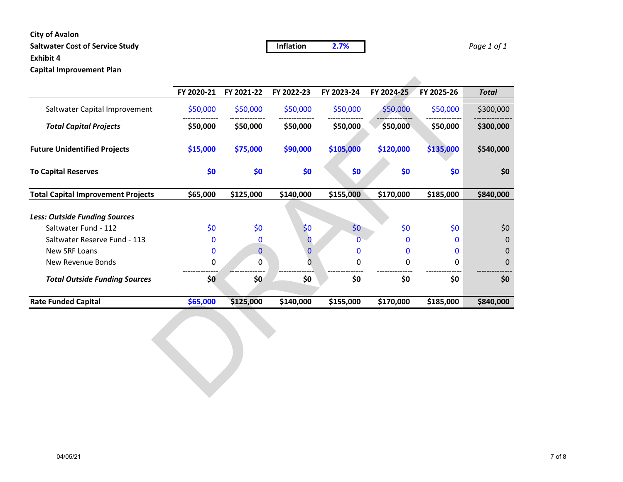### **City of Avalon**

# **Saltwater Cost of Service Study Inflation 2.7%** *Page 1 of 1*

# **Exhibit 4**

**Capital Improvement Plan**

|                                           | FY 2020-21 | FY 2021-22   | FY 2022-23   | FY 2023-24 | FY 2024-25 | FY 2025-26 | <b>Total</b> |
|-------------------------------------------|------------|--------------|--------------|------------|------------|------------|--------------|
| Saltwater Capital Improvement             | \$50,000   | \$50,000     | \$50,000     | \$50,000   | \$50,000   | \$50,000   | \$300,000    |
| <b>Total Capital Projects</b>             | \$50,000   | \$50,000     | \$50,000     | \$50,000   | \$50,000   | \$50,000   | \$300,000    |
| <b>Future Unidentified Projects</b>       | \$15,000   | \$75,000     | \$90,000     | \$105,000  | \$120,000  | \$135,000  | \$540,000    |
| <b>To Capital Reserves</b>                | \$0        | \$0          | \$0          | \$0        | \$0        | \$0        | \$0          |
| <b>Total Capital Improvement Projects</b> | \$65,000   | \$125,000    | \$140,000    | \$155,000  | \$170,000  | \$185,000  | \$840,000    |
| <b>Less: Outside Funding Sources</b>      |            |              |              |            |            |            |              |
| Saltwater Fund - 112                      | \$0        | \$0          | \$0          | \$0        | \$0        | \$0        | \$0          |
| Saltwater Reserve Fund - 113              | 0          | 0            | $\mathbf{0}$ | 0          | $\bf{0}$   | $\bf{0}$   | $\mathbf 0$  |
| New SRF Loans                             | 0          | $\mathbf{0}$ | $\mathbf 0$  | 0          | $\bf{0}$   | 0          | 0            |
| New Revenue Bonds                         | 0          | 0            | 0            | 0          | 0          | 0          | 0            |
| <b>Total Outside Funding Sources</b>      | \$0        | \$0          | \$0          | \$0        | \$0        | \$0        | \$0          |
| <b>Rate Funded Capital</b>                | \$65,000   | \$125,000    | \$140,000    | \$155,000  | \$170,000  | \$185,000  | \$840,000    |
|                                           |            |              |              |            |            |            |              |